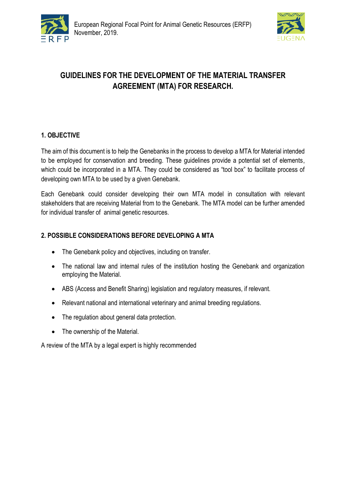



# **GUIDELINES FOR THE DEVELOPMENT OF THE MATERIAL TRANSFER AGREEMENT (MTA) FOR RESEARCH.**

## **1. OBJECTIVE**

The aim of this document is to help the Genebanks in the process to develop a MTA for Material intended to be employed for conservation and breeding. These guidelines provide a potential set of elements, which could be incorporated in a MTA. They could be considered as "tool box" to facilitate process of developing own MTA to be used by a given Genebank.

Each Genebank could consider developing their own MTA model in consultation with relevant stakeholders that are receiving Material from to the Genebank. The MTA model can be further amended for individual transfer of animal genetic resources.

## **2. POSSIBLE CONSIDERATIONS BEFORE DEVELOPING A MTA**

- The Genebank policy and objectives, including on transfer.
- The national law and internal rules of the institution hosting the Genebank and organization employing the Material.
- ABS (Access and Benefit Sharing) legislation and regulatory measures, if relevant.
- Relevant national and international veterinary and animal breeding regulations.
- The regulation about general data protection.
- The ownership of the Material.

A review of the MTA by a legal expert is highly recommended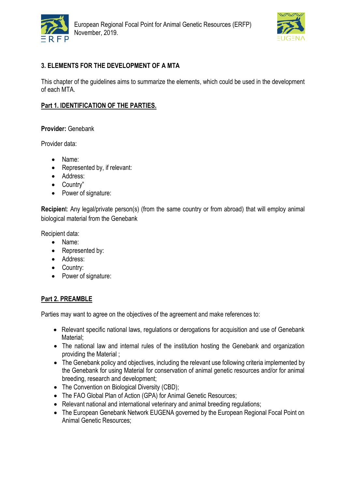



## **3. ELEMENTS FOR THE DEVELOPMENT OF A MTA**

This chapter of the guidelines aims to summarize the elements, which could be used in the development of each MTA.

#### **Part 1. IDENTIFICATION OF THE PARTIES.**

#### **Provider:** Genebank

Provider data:

- Name:
- Represented by, if relevant:
- Address:
- Country"
- Power of signature:

**Recipien**t: Any legal/private person(s) (from the same country or from abroad) that will employ animal biological material from the Genebank

Recipient data:

- Name:
- Represented by:
- Address:
- Country:
- Power of signature:

#### **Part 2. PREAMBLE**

Parties may want to agree on the objectives of the agreement and make references to:

- Relevant specific national laws, regulations or derogations for acquisition and use of Genebank Material;
- The national law and internal rules of the institution hosting the Genebank and organization providing the Material ;
- The Genebank policy and objectives, including the relevant use following criteria implemented by the Genebank for using Material for conservation of animal genetic resources and/or for animal breeding, research and development;
- The Convention on Biological Diversity (CBD);
- The FAO Global Plan of Action (GPA) for Animal Genetic Resources;
- Relevant national and international veterinary and animal breeding regulations;
- The European Genebank Network EUGENA governed by the European Regional Focal Point on Animal Genetic Resources;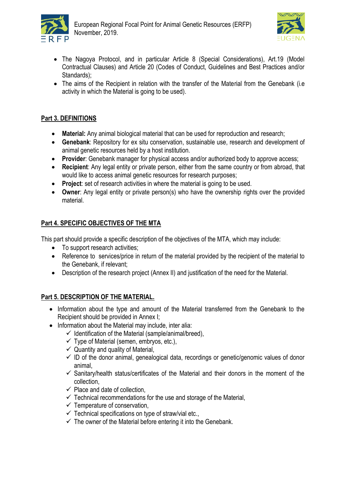



- The Nagoya Protocol, and in particular Article 8 (Special Considerations), Art.19 (Model Contractual Clauses) and Article 20 (Codes of Conduct, Guidelines and Best Practices and/or Standards);
- The aims of the Recipient in relation with the transfer of the Material from the Genebank (i.e activity in which the Material is going to be used).

## **Part 3. DEFINITIONS**

- **Material:** Any animal biological material that can be used for reproduction and research;
- **Genebank**: Repository for ex situ conservation, sustainable use, research and development of animal genetic resources held by a host institution.
- **Provider**: Genebank manager for physical access and/or authorized body to approve access;
- **Recipient**: Any legal entity or private person, either from the same country or from abroad, that would like to access animal genetic resources for research purposes;
- **Project**: set of research activities in where the material is going to be used.
- **Owner**: Any legal entity or private person(s) who have the ownership rights over the provided material.

# **Part 4. SPECIFIC OBJECTIVES OF THE MTA**

This part should provide a specific description of the objectives of the MTA, which may include:

- To support research activities;
- Reference to services/price in return of the material provided by the recipient of the material to the Genebank, if relevant;
- Description of the research project (Annex II) and justification of the need for the Material.

## **Part 5. DESCRIPTION OF THE MATERIAL.**

- Information about the type and amount of the Material transferred from the Genebank to the Recipient should be provided in Annex I;
- Information about the Material may include, inter alia:
	- $\checkmark$  Identification of the Material (sample/animal/breed),
	- $\checkmark$  Type of Material (semen, embryos, etc.),
	- $\checkmark$  Quantity and quality of Material,
	- $\checkmark$  ID of the donor animal, genealogical data, recordings or genetic/genomic values of donor animal,
	- $\checkmark$  Sanitary/health status/certificates of the Material and their donors in the moment of the collection,
	- $\checkmark$  Place and date of collection.
	- $\checkmark$  Technical recommendations for the use and storage of the Material,
	- $\checkmark$  Temperature of conservation,
	- $\checkmark$  Technical specifications on type of straw/vial etc.,
	- $\checkmark$  The owner of the Material before entering it into the Genebank.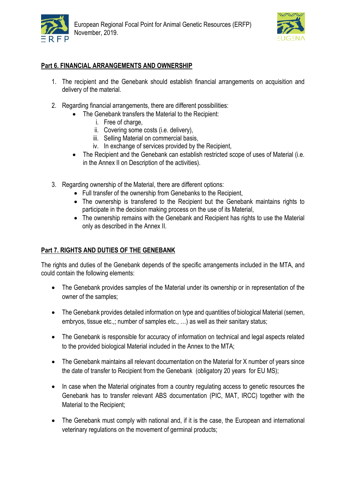



## **Part 6. FINANCIAL ARRANGEMENTS AND OWNERSHIP**

- 1. The recipient and the Genebank should establish financial arrangements on acquisition and delivery of the material.
- 2. Regarding financial arrangements, there are different possibilities:
	- The Genebank transfers the Material to the Recipient:
		- i. Free of charge,
		- ii. Covering some costs (i.e. delivery),
		- iii. Selling Material on commercial basis,
		- iv. In exchange of services provided by the Recipient,
	- The Recipient and the Genebank can establish restricted scope of uses of Material (i.e. in the Annex II on Description of the activities).
- 3. Regarding ownership of the Material, there are different options:
	- Full transfer of the ownership from Genebanks to the Recipient,
	- The ownership is transfered to the Recipient but the Genebank maintains rights to participate in the decision making process on the use of its Material,
	- The ownership remains with the Genebank and Recipient has rights to use the Material only as described in the Annex II.

#### **Part 7. RIGHTS AND DUTIES OF THE GENEBANK**

The rights and duties of the Genebank depends of the specific arrangements included in the MTA, and could contain the following elements:

- The Genebank provides samples of the Material under its ownership or in representation of the owner of the samples;
- The Genebank provides detailed information on type and quantities of biological Material (semen, embryos, tissue etc.,; number of samples etc., …) as well as their sanitary status;
- The Genebank is responsible for accuracy of information on technical and legal aspects related to the provided biological Material included in the Annex to the MTA;
- The Genebank maintains all relevant documentation on the Material for X number of years since the date of transfer to Recipient from the Genebank (obligatory 20 years for EU MS);
- In case when the Material originates from a country regulating access to genetic resources the Genebank has to transfer relevant ABS documentation (PIC, MAT, IRCC) together with the Material to the Recipient;
- The Genebank must comply with national and, if it is the case, the European and international veterinary regulations on the movement of germinal products;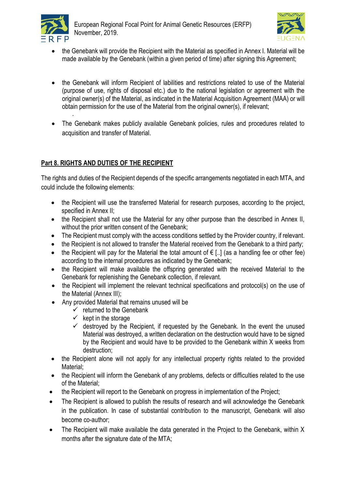

.



- the Genebank will provide the Recipient with the Material as specified in Annex I. Material will be made available by the Genebank (within a given period of time) after signing this Agreement;
- the Genebank will inform Recipient of labilities and restrictions related to use of the Material (purpose of use, rights of disposal etc.) due to the national legislation or agreement with the original owner(s) of the Material, as indicated in the Material Acquisition Agreement (MAA) or will obtain permission for the use of the Material from the original owner(s), if relevant;
- The Genebank makes publicly available Genebank policies, rules and procedures related to acquisition and transfer of Material.

## **Part 8. RIGHTS AND DUTIES OF THE RECIPIENT**

The rights and duties of the Recipient depends of the specific arrangements negotiated in each MTA, and could include the following elements:

- the Recipient will use the transferred Material for research purposes, according to the project, specified in Annex II;
- the Recipient shall not use the Material for any other purpose than the described in Annex II, without the prior written consent of the Genebank;
- The Recipient must comply with the access conditions settled by the Provider country, if relevant.
- the Recipient is not allowed to transfer the Material received from the Genebank to a third party;
- the Recipient will pay for the Material the total amount of  $\epsilon$  [..] (as a handling fee or other fee) according to the internal procedures as indicated by the Genebank;
- the Recipient will make available the offspring generated with the received Material to the Genebank for replenishing the Genebank collection, if relevant.
- the Recipient will implement the relevant technical specifications and protocol(s) on the use of the Material (Annex III);
- Any provided Material that remains unused will be
	- $\checkmark$  returned to the Genebank
	- $\checkmark$  kept in the storage
	- $\checkmark$  destroyed by the Recipient, if requested by the Genebank. In the event the unused Material was destroyed, a written declaration on the destruction would have to be signed by the Recipient and would have to be provided to the Genebank within X weeks from destruction;
- the Recipient alone will not apply for any intellectual property rights related to the provided Material;
- the Recipient will inform the Genebank of any problems, defects or difficulties related to the use of the Material;
- the Recipient will report to the Genebank on progress in implementation of the Project;
- The Recipient is allowed to publish the results of research and will acknowledge the Genebank in the publication. In case of substantial contribution to the manuscript, Genebank will also become co-author;
- The Recipient will make available the data generated in the Project to the Genebank, within X months after the signature date of the MTA;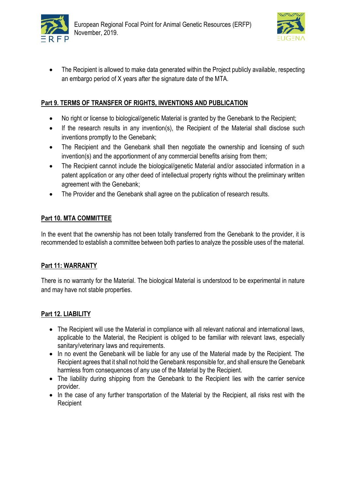



 The Recipient is allowed to make data generated within the Project publicly available, respecting an embargo period of X years after the signature date of the MTA.

## **Part 9. TERMS OF TRANSFER OF RIGHTS, INVENTIONS AND PUBLICATION**

- No right or license to biological/genetic Material is granted by the Genebank to the Recipient;
- If the research results in any invention(s), the Recipient of the Material shall disclose such inventions promptly to the Genebank;
- The Recipient and the Genebank shall then negotiate the ownership and licensing of such invention(s) and the apportionment of any commercial benefits arising from them;
- The Recipient cannot include the biological/genetic Material and/or associated information in a patent application or any other deed of intellectual property rights without the preliminary written agreement with the Genebank;
- The Provider and the Genebank shall agree on the publication of research results.

#### **Part 10. MTA COMMITTEE**

In the event that the ownership has not been totally transferred from the Genebank to the provider, it is recommended to establish a committee between both parties to analyze the possible uses of the material.

#### **Part 11: WARRANTY**

There is no warranty for the Material. The biological Material is understood to be experimental in nature and may have not stable properties.

#### **Part 12. LIABILITY**

- The Recipient will use the Material in compliance with all relevant national and international laws, applicable to the Material, the Recipient is obliged to be familiar with relevant laws, especially sanitary/veterinary laws and requirements.
- In no event the Genebank will be liable for any use of the Material made by the Recipient. The Recipient agrees that it shall not hold the Genebank responsible for, and shall ensure the Genebank harmless from consequences of any use of the Material by the Recipient.
- The liability during shipping from the Genebank to the Recipient lies with the carrier service provider.
- In the case of any further transportation of the Material by the Recipient, all risks rest with the **Recipient**